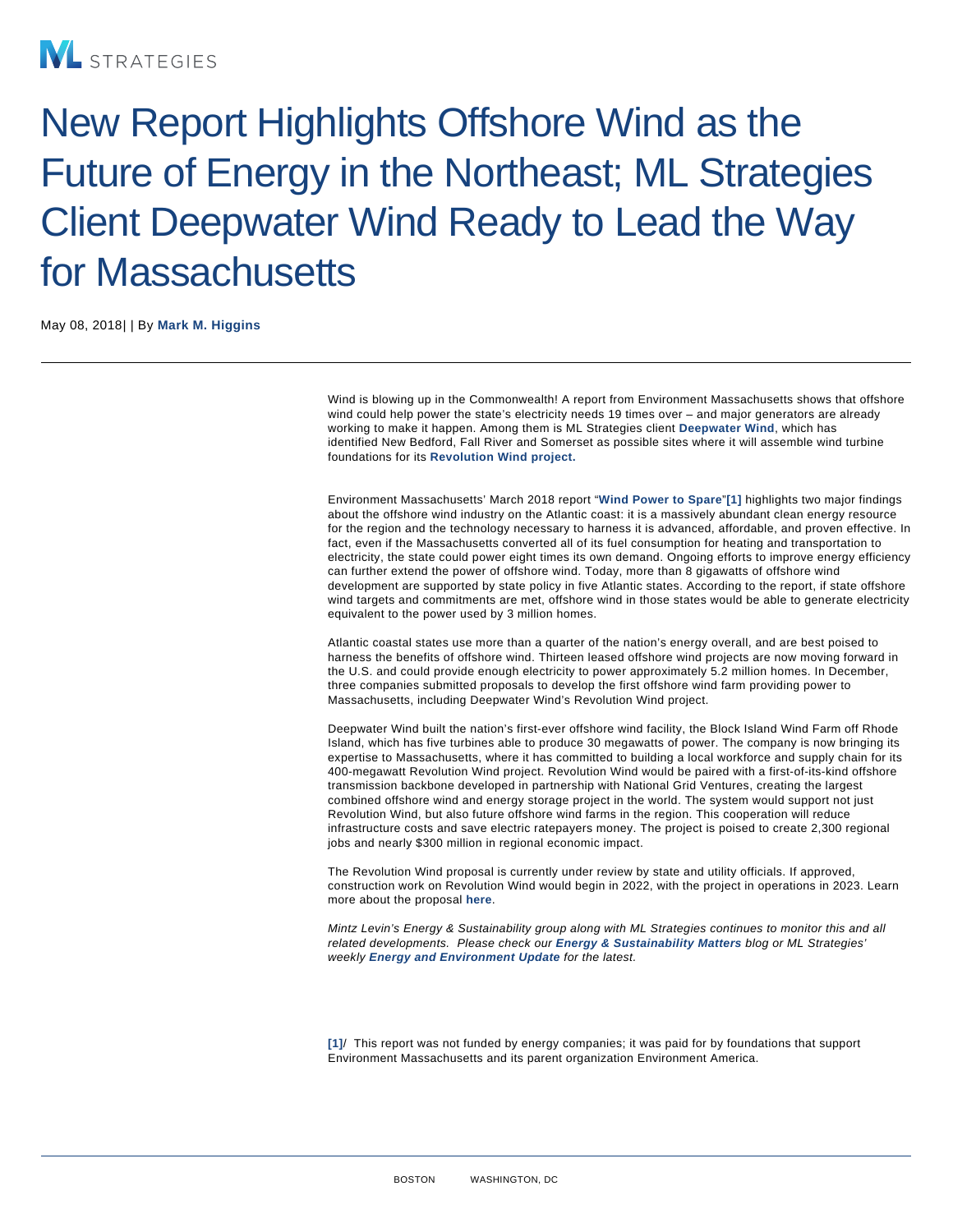## New Report Highlights Offshore Wind as the Future of Energy in the Northeast; ML Strategies Client Deepwater Wind Ready to Lead the Way for Massachusetts

May 08, 2018| | By [Mark M. Higgins](/our-people/mark-m-higgins)

Wind is blowing up in the Commonwealth! A report from Environment Massachusetts shows that offshore wind could help power the state's electricity needs 19 times over – and major generators are already working to make it happen. Among them is ML Strategies client [Deepwater Wind](http://dwwind.com/project/revolution-wind/) , which has identified New Bedford, Fall River and Somerset as possible sites where it will assemble wind turbine foundations for its [Revolution Wind project.](http://dwwind.com/project/revolution-wind/)

Environment Massachusetts' March 2018 report "[Wind Power to Spare](https://environmentmassachusetts.org/reports/mae/wind-power-spare-enormous-energy-potential-atlantic-offshore-wind) "[1] highlights two major findings about the offshore wind industry on the Atlantic coast: it is a massively abundant clean energy resource for the region and the technology necessary to harness it is advanced, affordable, and proven effective. In fact, even if the Massachusetts converted all of its fuel consumption for heating and transportation to electricity, the state could power eight times its own demand. Ongoing efforts to improve energy efficiency can further extend the power of offshore wind. Today, more than 8 gigawatts of offshore wind development are supported by state policy in five Atlantic states. According to the report, if state offshore wind targets and commitments are met, offshore wind in those states would be able to generate electricity equivalent to the power used by 3 million homes.

Atlantic coastal states use more than a quarter of the nation's energy overall, and are best poised to harness the benefits of offshore wind. Thirteen leased offshore wind projects are now moving forward in the U.S. and could provide enough electricity to power approximately 5.2 million homes. In December, three companies submitted proposals to develop the first offshore wind farm providing power to Massachusetts, including Deepwater Wind's Revolution Wind project.

Deepwater Wind built the nation's first-ever offshore wind facility, the Block Island Wind Farm off Rhode Island, which has five turbines able to produce 30 megawatts of power. The company is now bringing its expertise to Massachusetts, where it has committed to building a local workforce and supply chain for its 400-megawatt Revolution Wind project. Revolution Wind would be paired with a first-of-its-kind offshore transmission backbone developed in partnership with National Grid Ventures, creating the largest combined offshore wind and energy storage project in the world. The system would support not just Revolution Wind, but also future offshore wind farms in the region. This cooperation will reduce infrastructure costs and save electric ratepayers money. The project is poised to create 2,300 regional jobs and nearly \$300 million in regional economic impact.

The Revolution Wind proposal is currently under review by state and utility officials. If approved, construction work on Revolution Wind would begin in 2022, with the project in operations in 2023. Learn more about the proposal [here](http://dwwind.com/press/deepwater-wind-eyeing-massachusetts-south-coast-major-offshore-wind-construction-activity/) .

Mintz Levin's Energy & Sustainability group along with ML Strategies continues to monitor this and all related developments. Please check our [Energy & Sustainability Matters](https://www.energysustainabilitymatters.com/) blog or ML Strategies' weekly [Energy and Environment Update](http://www.mlstrategies.com/publications.htm#energy) for the latest.

[1] / This report was not funded by energy companies; it was paid for by foundations that support Environment Massachusetts and its parent organization Environment America.